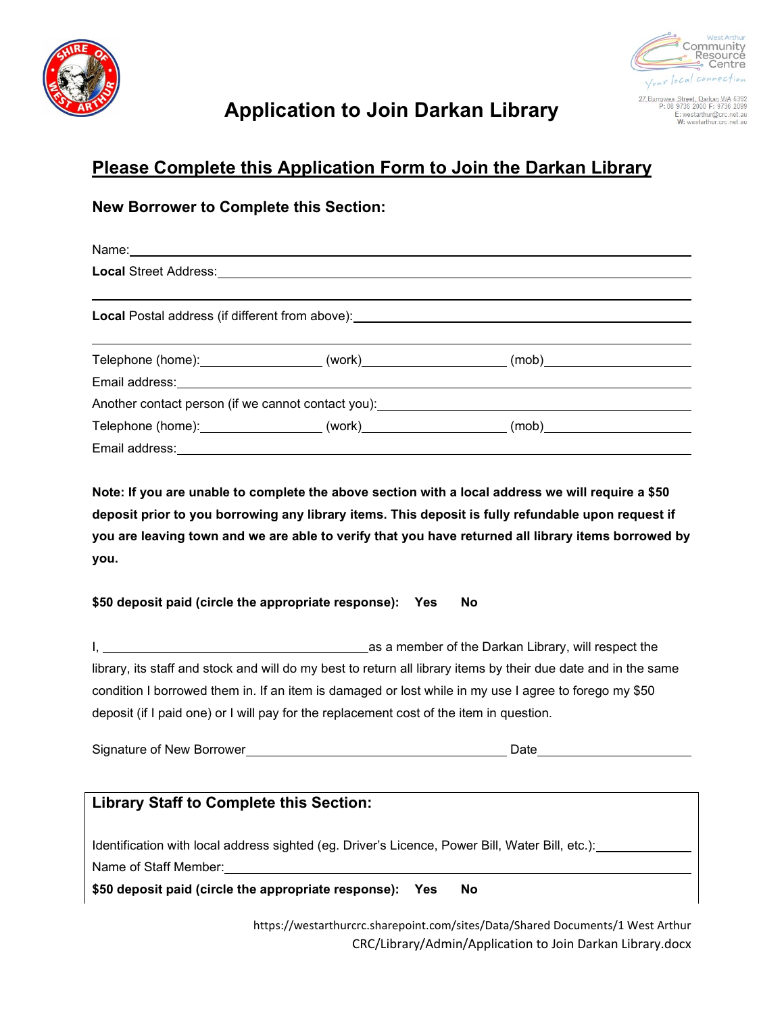



E: westarthur@crc.net.au<br>W: westarthur.crc.net.au

## **Application to Join Darkan Library**

### **Please Complete this Application Form to Join the Darkan Library**

#### **New Borrower to Complete this Section:**

|  | <b>Local</b> Postal address (if different from above): <b>All and the control of the control of the control of the control of the control of the control of the control of the control of the control of the control of the control o</b> |  |
|--|-------------------------------------------------------------------------------------------------------------------------------------------------------------------------------------------------------------------------------------------|--|
|  | Telephone (home):_____________________(work)______________________(mob)____________________________                                                                                                                                       |  |
|  | Another contact person (if we cannot contact you): ______________________________                                                                                                                                                         |  |
|  | Telephone (home): ____________________(work)______________________(mob)____________________________                                                                                                                                       |  |
|  |                                                                                                                                                                                                                                           |  |

**Note: If you are unable to complete the above section with a local address we will require a \$50 deposit prior to you borrowing any library items. This deposit is fully refundable upon request if you are leaving town and we are able to verify that you have returned all library items borrowed by you.**

#### **\$50 deposit paid (circle the appropriate response): Yes No**

I, 1. As a member of the Darkan Library, will respect the library, its staff and stock and will do my best to return all library items by their due date and in the same condition I borrowed them in. If an item is damaged or lost while in my use I agree to forego my \$50 deposit (if I paid one) or I will pay for the replacement cost of the item in question.

Signature of New Borrower **Date** Date **Date** 

| <b>Library Staff to Complete this Section:</b>                                                  |
|-------------------------------------------------------------------------------------------------|
|                                                                                                 |
|                                                                                                 |
| Identification with local address sighted (eg. Driver's Licence, Power Bill, Water Bill, etc.): |
|                                                                                                 |
| Name of Staff Member:                                                                           |
| \$50 deposit paid (circle the appropriate response): Yes<br>Nο                                  |
|                                                                                                 |

https://westarthurcrc.sharepoint.com/sites/Data/Shared Documents/1 West Arthur CRC/Library/Admin/Application to Join Darkan Library.docx